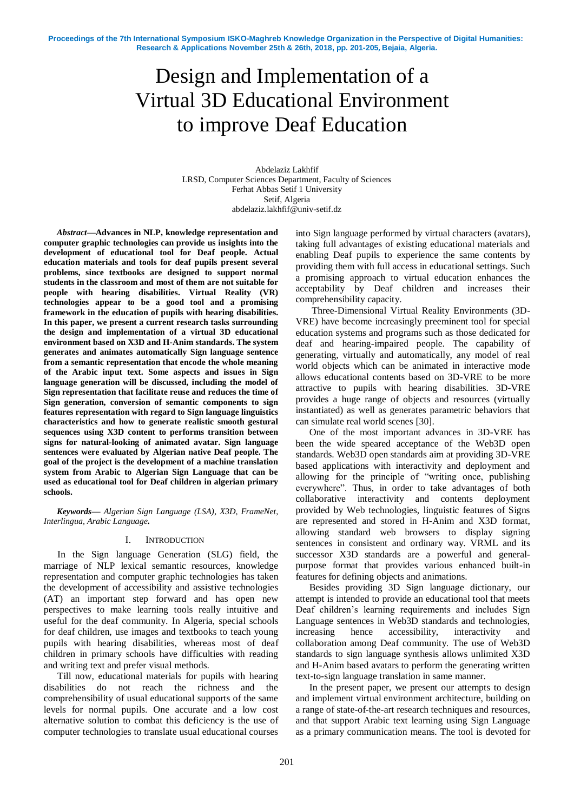# Design and Implementation of a Virtual 3D Educational Environment to improve Deaf Education

Abdelaziz Lakhfif LRSD, Computer Sciences Department, Faculty of Sciences Ferhat Abbas Setif 1 University Setif, Algeria abdelaziz.lakhfif@univ-setif.dz

*Abstract***—Advances in NLP, knowledge representation and computer graphic technologies can provide us insights into the development of educational tool for Deaf people. Actual education materials and tools for deaf pupils present several problems, since textbooks are designed to support normal students in the classroom and most of them are not suitable for people with hearing disabilities. Virtual Reality (VR) technologies appear to be a good tool and a promising framework in the education of pupils with hearing disabilities. In this paper, we present a current research tasks surrounding the design and implementation of a virtual 3D educational environment based on X3D and H-Anim standards. The system generates and animates automatically Sign language sentence from a semantic representation that encode the whole meaning of the Arabic input text. Some aspects and issues in Sign language generation will be discussed, including the model of Sign representation that facilitate reuse and reduces the time of Sign generation, conversion of semantic components to sign features representation with regard to Sign language linguistics characteristics and how to generate realistic smooth gestural sequences using X3D content to performs transition between signs for natural-looking of animated avatar. Sign language sentences were evaluated by Algerian native Deaf people. The goal of the project is the development of a machine translation system from Arabic to Algerian Sign Language that can be used as educational tool for Deaf children in algerian primary schools.** 

*Keywords— Algerian Sign Language (LSA), X3D, FrameNet, Interlingua, Arabic Language.*

## I. INTRODUCTION

In the Sign language Generation (SLG) field, the marriage of NLP lexical semantic resources, knowledge representation and computer graphic technologies has taken the development of accessibility and assistive technologies (AT) an important step forward and has open new perspectives to make learning tools really intuitive and useful for the deaf community. In Algeria, special schools for deaf children, use images and textbooks to teach young pupils with hearing disabilities, whereas most of deaf children in primary schools have difficulties with reading and writing text and prefer visual methods.

Till now, educational materials for pupils with hearing disabilities do not reach the richness and the comprehensibility of usual educational supports of the same levels for normal pupils. One accurate and a low cost alternative solution to combat this deficiency is the use of computer technologies to translate usual educational courses

into Sign language performed by virtual characters (avatars), taking full advantages of existing educational materials and enabling Deaf pupils to experience the same contents by providing them with full access in educational settings. Such a promising approach to virtual education enhances the acceptability by Deaf children and increases their comprehensibility capacity.

Three-Dimensional Virtual Reality Environments (3D-VRE) have become increasingly preeminent tool for special education systems and programs such as those dedicated for deaf and hearing-impaired people. The capability of generating, virtually and automatically, any model of real world objects which can be animated in interactive mode allows educational contents based on 3D-VRE to be more attractive to pupils with hearing disabilities. 3D-VRE provides a huge range of objects and resources (virtually instantiated) as well as generates parametric behaviors that can simulate real world scenes [30].

One of the most important advances in 3D-VRE has been the wide speared acceptance of the Web3D open standards. Web3D open standards aim at providing 3D-VRE based applications with interactivity and deployment and allowing for the principle of "writing once, publishing everywhere". Thus, in order to take advantages of both collaborative interactivity and contents deployment provided by Web technologies, linguistic features of Signs are represented and stored in H-Anim and X3D format, allowing standard web browsers to display signing sentences in consistent and ordinary way. VRML and its successor X3D standards are a powerful and generalpurpose format that provides various enhanced built-in features for defining objects and animations.

Besides providing 3D Sign language dictionary, our attempt is intended to provide an educational tool that meets Deaf children's learning requirements and includes Sign Language sentences in Web3D standards and technologies, increasing hence accessibility, interactivity and collaboration among Deaf community. The use of Web3D standards to sign language synthesis allows unlimited X3D and H-Anim based avatars to perform the generating written text-to-sign language translation in same manner.

In the present paper, we present our attempts to design and implement virtual environment architecture, building on a range of state-of-the-art research techniques and resources, and that support Arabic text learning using Sign Language as a primary communication means. The tool is devoted for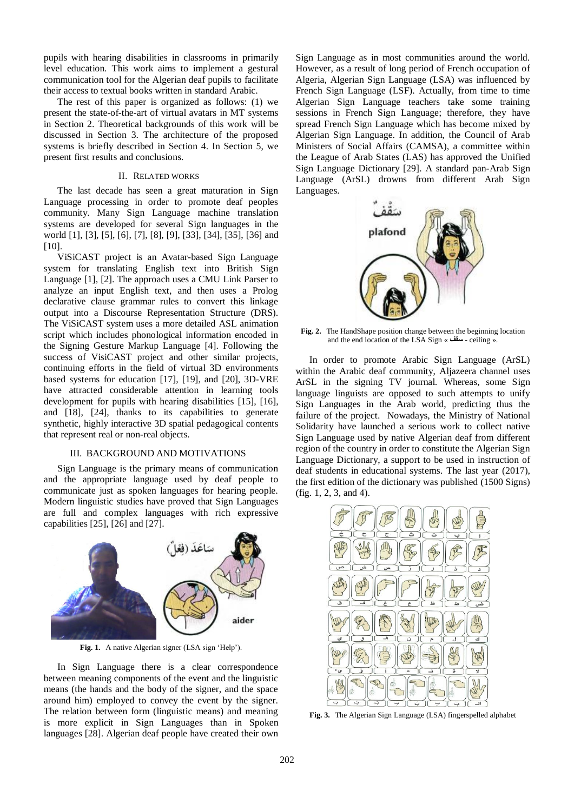pupils with hearing disabilities in classrooms in primarily level education. This work aims to implement a gestural communication tool for the Algerian deaf pupils to facilitate their access to textual books written in standard Arabic.

The rest of this paper is organized as follows: (1) we present the state-of-the-art of virtual avatars in MT systems in Section 2. Theoretical backgrounds of this work will be discussed in Section 3. The architecture of the proposed systems is briefly described in Section 4. In Section 5, we present first results and conclusions.

# II. RELATED WORKS

The last decade has seen a great maturation in Sign Language processing in order to promote deaf peoples community. Many Sign Language machine translation systems are developed for several Sign languages in the world [1], [3], [5], [6], [7], [8], [9], [33], [34], [35], [36] and [10].

ViSiCAST project is an Avatar-based Sign Language system for translating English text into British Sign Language [1], [2]. The approach uses a CMU Link Parser to analyze an input English text, and then uses a Prolog declarative clause grammar rules to convert this linkage output into a Discourse Representation Structure (DRS). The ViSiCAST system uses a more detailed ASL animation script which includes phonological information encoded in the Signing Gesture Markup Language [4]. Following the success of VisiCAST project and other similar projects, continuing efforts in the field of virtual 3D environments based systems for education [17], [19], and [20], 3D-VRE have attracted considerable attention in learning tools development for pupils with hearing disabilities [15], [16], and [18], [24], thanks to its capabilities to generate synthetic, highly interactive 3D spatial pedagogical contents that represent real or non-real objects.

# III. BACKGROUND AND MOTIVATIONS

Sign Language is the primary means of communication and the appropriate language used by deaf people to communicate just as spoken languages for hearing people. Modern linguistic studies have proved that Sign Languages are full and complex languages with rich expressive capabilities [25], [26] and [27].



Fig. 1. A native Algerian signer (LSA sign 'Help').

In Sign Language there is a clear correspondence between meaning components of the event and the linguistic means (the hands and the body of the signer, and the space around him) employed to convey the event by the signer. The relation between form (linguistic means) and meaning is more explicit in Sign Languages than in Spoken languages [28]. Algerian deaf people have created their own Sign Language as in most communities around the world. However, as a result of long period of French occupation of Algeria, Algerian Sign Language (LSA) was influenced by French Sign Language (LSF). Actually, from time to time Algerian Sign Language teachers take some training sessions in French Sign Language; therefore, they have spread French Sign Language which has become mixed by Algerian Sign Language. In addition, the Council of Arab Ministers of Social Affairs (CAMSA), a committee within the League of Arab States (LAS) has approved the Unified Sign Language Dictionary [29]. A standard pan-Arab Sign Language (ArSL) drowns from different Arab Sign Languages.



**Fig. 2.** The HandShape position change between the beginning location and the end location of the LSA Sign « **سقف** - ceiling ».

In order to promote Arabic Sign Language (ArSL) within the Arabic deaf community, Aljazeera channel uses ArSL in the signing TV journal. Whereas, some Sign language linguists are opposed to such attempts to unify Sign Languages in the Arab world, predicting thus the failure of the project. Nowadays, the Ministry of National Solidarity have launched a serious work to collect native Sign Language used by native Algerian deaf from different region of the country in order to constitute the Algerian Sign Language Dictionary, a support to be used in instruction of deaf students in educational systems. The last year (2017), the first edition of the dictionary was published (1500 Signs) (fig. 1, 2, 3, and 4).



**Fig. 3.** The Algerian Sign Language (LSA) fingerspelled alphabet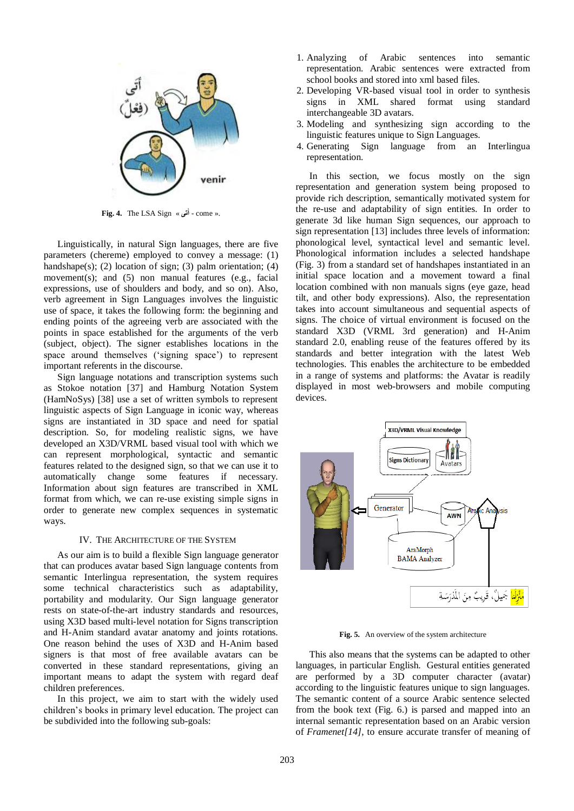

**Fig. 4.** The LSA Sign « **تى** .« come - **أ َ**

Linguistically, in natural Sign languages, there are five parameters (chereme) employed to convey a message: (1) handshape(s); (2) location of sign; (3) palm orientation; (4) movement(s); and (5) non manual features (e.g., facial expressions, use of shoulders and body, and so on). Also, verb agreement in Sign Languages involves the linguistic use of space, it takes the following form: the beginning and ending points of the agreeing verb are associated with the points in space established for the arguments of the verb (subject, object). The signer establishes locations in the space around themselves ('signing space') to represent important referents in the discourse.

Sign language notations and transcription systems such as Stokoe notation [37] and Hamburg Notation System (HamNoSys) [38] use a set of written symbols to represent linguistic aspects of Sign Language in iconic way, whereas signs are instantiated in 3D space and need for spatial description. So, for modeling realistic signs, we have developed an X3D/VRML based visual tool with which we can represent morphological, syntactic and semantic features related to the designed sign, so that we can use it to automatically change some features if necessary. Information about sign features are transcribed in XML format from which, we can re-use existing simple signs in order to generate new complex sequences in systematic ways.

### IV. THE ARCHITECTURE OF THE SYSTEM

As our aim is to build a flexible Sign language generator that can produces avatar based Sign language contents from semantic Interlingua representation, the system requires some technical characteristics such as adaptability, portability and modularity. Our Sign language generator rests on state-of-the-art industry standards and resources, using X3D based multi-level notation for Signs transcription and H-Anim standard avatar anatomy and joints rotations. One reason behind the uses of X3D and H-Anim based signers is that most of free available avatars can be converted in these standard representations, giving an important means to adapt the system with regard deaf children preferences.

In this project, we aim to start with the widely used children"s books in primary level education. The project can be subdivided into the following sub-goals:

- 1. Analyzing of Arabic sentences into semantic representation. Arabic sentences were extracted from school books and stored into xml based files.
- 2. Developing VR-based visual tool in order to synthesis signs in XML shared format using standard interchangeable 3D avatars.
- 3. Modeling and synthesizing sign according to the linguistic features unique to Sign Languages.
- 4. Generating Sign language from an Interlingua representation.

In this section, we focus mostly on the sign representation and generation system being proposed to provide rich description, semantically motivated system for the re-use and adaptability of sign entities. In order to generate 3d like human Sign sequences, our approach to sign representation [13] includes three levels of information: phonological level, syntactical level and semantic level. Phonological information includes a selected handshape (Fig. 3) from a standard set of handshapes instantiated in an initial space location and a movement toward a final location combined with non manuals signs (eye gaze, head tilt, and other body expressions). Also, the representation takes into account simultaneous and sequential aspects of signs. The choice of virtual environment is focused on the standard X3D (VRML 3rd generation) and H-Anim standard 2.0, enabling reuse of the features offered by its standards and better integration with the latest Web technologies. This enables the architecture to be embedded in a range of systems and platforms: the Avatar is readily displayed in most web-browsers and mobile computing devices.



**Fig. 5.** An overview of the system architecture

This also means that the systems can be adapted to other languages, in particular English. Gestural entities generated are performed by a 3D computer character (avatar) according to the linguistic features unique to sign languages. The semantic content of a source Arabic sentence selected from the book text (Fig. 6.) is parsed and mapped into an internal semantic representation based on an Arabic version of *Framenet[14]*, to ensure accurate transfer of meaning of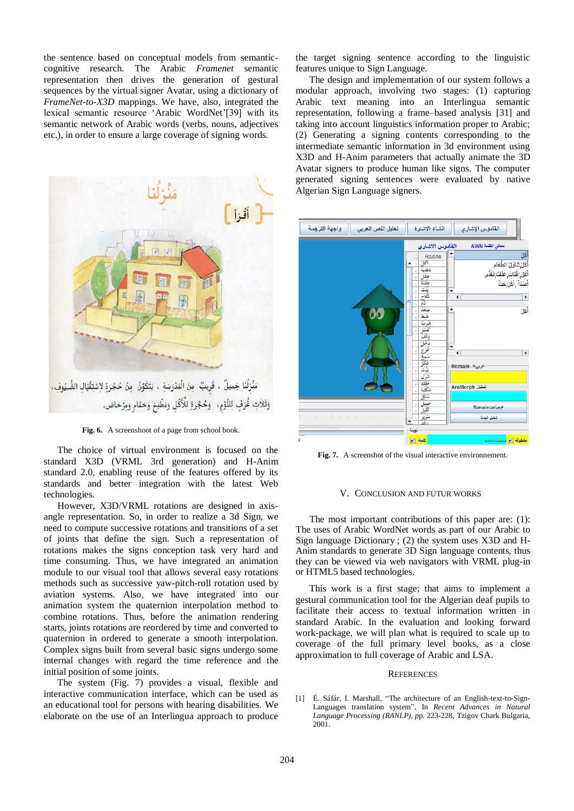the sentence based on conceptual models from semanticcognitive research. The Arabic *Framenet* semantic representation then drives the generation of gestural sequences by the virtual signer Avatar, using a dictionary of *FrameNet-to-X3D* mappings. We have, also, integrated the lexical semantic resource "Arabic WordNet"[39] with its semantic network of Arabic words (verbs, nouns, adjectives etc.), in order to ensure a large coverage of signing words.



Fig. 6. A screenshoot of a page from school book.

The choice of virtual environment is focused on the standard X3D (VRML 3rd generation) and H-Anim standard 2.0, enabling reuse of the features offered by its standards and better integration with the latest Web technologies.

However, X3D/VRML rotations are designed in axisangle representation. So, in order to realize a 3d Sign, we need to compute successive rotations and transitions of a set of joints that define the sign. Such a representation of rotations makes the signs conception task very hard and time consuming. Thus, we have integrated an animation module to our visual tool that allows several easy rotations methods such as successive yaw-pitch-roll rotation used by aviation systems. Also, we have integrated into our animation system the quaternion interpolation method to combine rotations. Thus, before the animation rendering starts, joints rotations are reordered by time and converted to quaternion in ordered to generate a smooth interpolation. Complex signs built from several basic signs undergo some internal changes with regard the time reference and the initial position of some joints.

The system (Fig. 7) provides a visual, flexible and interactive communication interface, which can be used as an educational tool for persons with hearing disabilities. We elaborate on the use of an Interlingua approach to produce

the target signing sentence according to the linguistic features unique to Sign Language.

The design and implementation of our system follows a modular approach, involving two stages: (1) capturing Arabic text meaning into an Interlingua semantic representation, following a frame–based analysis [31] and taking into account linguistics information proper to Arabic; (2) Generating a signing contents corresponding to the intermediate semantic information in 3d environment using X3D and H-Anim parameters that actually animate the 3D Avatar signers to produce human like signs. The computer generated signing sentences were evaluated by native Algerian Sign Language signers.



**Fig. 7.** A screenshot of the visual interactive environnement.

#### V. CONCLUSION AND FUTUR WORKS

The most important contributions of this paper are: (1): The uses of Arabic WordNet words as part of our Arabic to Sign language Dictionary ; (2) the system uses X3D and H-Anim standards to generate 3D Sign language contents, thus they can be viewed via web navigators with VRML plug-in or HTML5 based technologies.

This work is a first stage; that aims to implement a gestural communication tool for the Algerian deaf pupils to facilitate their access to textual information written in standard Arabic. In the evaluation and looking forward work-package, we will plan what is required to scale up to coverage of the full primary level books, as a close approximation to full coverage of Arabic and LSA.

#### **REFERENCES**

[1] É. Sáfár, I. Marshall, "The architecture of an English-text-to-Sign-Languages translation system", In *Recent Advances in Natural Language Processing (RANLP), p*p. 223-228, Tzigov Chark Bulgaria, 2001.